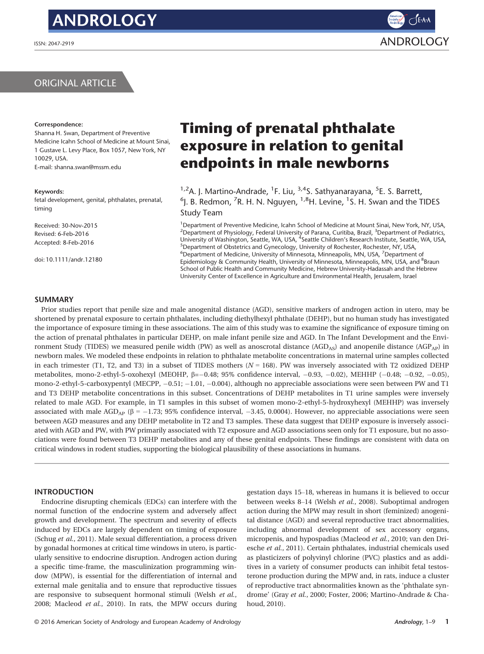# **ANDROLOGY**

## ORIGINAL ARTICLE

#### Correspondence:

Shanna H. Swan, Department of Preventive Medicine Icahn School of Medicine at Mount Sinai, 1 Gustave L. Levy Place, Box 1057, New York, NY 10029, USA.

E-mail: shanna.swan@mssm.edu

#### Keywords:

fetal development, genital, phthalates, prenatal, timing

Received: 30-Nov-2015 Revised: 6-Feb-2016 Accepted: 8-Feb-2016

doi: 10.1111/andr.12180

## Timing of prenatal phthalate exposure in relation to genital endpoints in male newborns

<sup>1,2</sup>A. J. Martino-Andrade, <sup>1</sup>F. Liu, <sup>3,4</sup>S. Sathyanarayana, <sup>5</sup>E. S. Barrett,  $^6$ J. B. Redmon,  $^7$ R. H. N. Nguyen,  $^{1,8}$ H. Levine,  $^1$ S. H. Swan and the TIDES Study Team

<sup>1</sup>Department of Preventive Medicine, Icahn School of Medicine at Mount Sinai, New York, NY, USA, <sup>2</sup>Department of Physiology, Federal University of Parana, Curitiba, Brazil, <sup>3</sup>Department of Pediatrics,<br>University of Washington, Seattle, WA, USA, <sup>4</sup>Seattle Children's Research Institute, Seattle, WA, USA,<br><sup>5</sup>Departmen <sup>5</sup>Department of Obstetrics and Gynecology, University of Rochester, Rochester, NY, USA,  $^6$ Department of Medicine, University of Minnesota, Minneapolis, MN, USA,  $^7$ Department of Epidemiology & Community Health, University of Minnesota, Minneapolis, MN, USA, and <sup>8</sup>Braun School of Public Health and Community Medicine, Hebrew University-Hadassah and the Hebrew University Center of Excellence in Agriculture and Environmental Health, Jerusalem, Israel

#### SUMMARY

Prior studies report that penile size and male anogenital distance (AGD), sensitive markers of androgen action in utero, may be shortened by prenatal exposure to certain phthalates, including diethylhexyl phthalate (DEHP), but no human study has investigated the importance of exposure timing in these associations. The aim of this study was to examine the significance of exposure timing on the action of prenatal phthalates in particular DEHP, on male infant penile size and AGD. In The Infant Development and the Environment Study (TIDES) we measured penile width (PW) as well as anoscrotal distance (AGD<sub>AS</sub>) and anopenile distance (AGP<sub>AP</sub>) in newborn males. We modeled these endpoints in relation to phthalate metabolite concentrations in maternal urine samples collected in each trimester (T1, T2, and T3) in a subset of TIDES mothers  $(N = 168)$ . PW was inversely associated with T2 oxidized DEHP metabolites, mono-2-ethyl-5-oxohexyl (MEOHP,  $\beta = -0.48$ ; 95% confidence interval,  $-0.93$ ,  $-0.02$ ), MEHHP ( $-0.48$ ;  $-0.92$ ,  $-0.05$ ), mono-2-ethyl-5-carboxypentyl (MECPP,  $-0.51$ ;  $-1.01$ ,  $-0.004$ ), although no appreciable associations were seen between PW and T1 and T3 DEHP metabolite concentrations in this subset. Concentrations of DEHP metabolites in T1 urine samples were inversely related to male AGD. For example, in T1 samples in this subset of women mono-2-ethyl-5-hydroxyhexyl (MEHHP) was inversely associated with male AGD<sub>AP</sub> ( $\beta$  = -1.73; 95% confidence interval, -3.45, 0.0004). However, no appreciable associations were seen between AGD measures and any DEHP metabolite in T2 and T3 samples. These data suggest that DEHP exposure is inversely associated with AGD and PW, with PW primarily associated with T2 exposure and AGD associations seen only for T1 exposure, but no associations were found between T3 DEHP metabolites and any of these genital endpoints. These findings are consistent with data on critical windows in rodent studies, supporting the biological plausibility of these associations in humans.

## INTRODUCTION

Endocrine disrupting chemicals (EDCs) can interfere with the normal function of the endocrine system and adversely affect growth and development. The spectrum and severity of effects induced by EDCs are largely dependent on timing of exposure (Schug et al., 2011). Male sexual differentiation, a process driven by gonadal hormones at critical time windows in utero, is particularly sensitive to endocrine disruption. Androgen action during a specific time-frame, the masculinization programming window (MPW), is essential for the differentiation of internal and external male genitalia and to ensure that reproductive tissues are responsive to subsequent hormonal stimuli (Welsh et al., 2008; Macleod et al., 2010). In rats, the MPW occurs during

gestation days 15–18, whereas in humans it is believed to occur between weeks 8–14 (Welsh et al., 2008). Suboptimal androgen action during the MPW may result in short (feminized) anogenital distance (AGD) and several reproductive tract abnormalities, including abnormal development of sex accessory organs, micropenis, and hypospadias (Macleod et al., 2010; van den Driesche et al., 2011). Certain phthalates, industrial chemicals used as plasticizers of polyvinyl chlorine (PVC) plastics and as additives in a variety of consumer products can inhibit fetal testosterone production during the MPW and, in rats, induce a cluster of reproductive tract abnormalities known as the 'phthalate syndrome' (Gray et al., 2000; Foster, 2006; Martino-Andrade & Chahoud, 2010).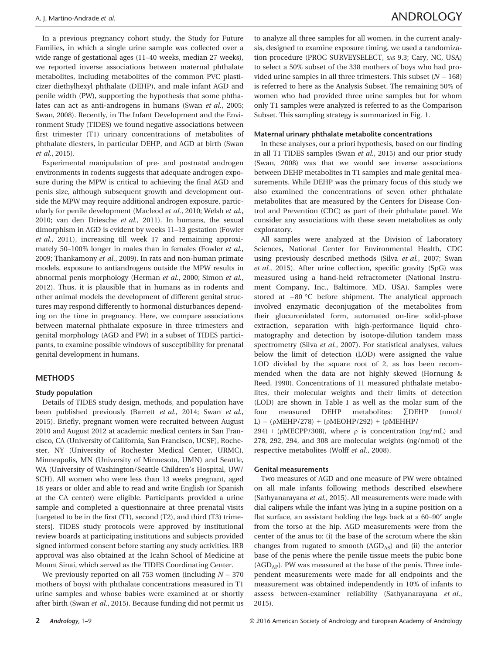In a previous pregnancy cohort study, the Study for Future Families, in which a single urine sample was collected over a wide range of gestational ages (11–40 weeks, median 27 weeks), we reported inverse associations between maternal phthalate metabolites, including metabolites of the common PVC plasticizer diethylhexyl phthalate (DEHP), and male infant AGD and penile width (PW), supporting the hypothesis that some phthalates can act as anti-androgens in humans (Swan et al., 2005; Swan, 2008). Recently, in The Infant Development and the Environment Study (TIDES) we found negative associations between first trimester (T1) urinary concentrations of metabolites of phthalate diesters, in particular DEHP, and AGD at birth (Swan et al., 2015).

Experimental manipulation of pre- and postnatal androgen environments in rodents suggests that adequate androgen exposure during the MPW is critical to achieving the final AGD and penis size, although subsequent growth and development outside the MPW may require additional androgen exposure, particularly for penile development (Macleod et al., 2010; Welsh et al., 2010; van den Driesche et al., 2011). In humans, the sexual dimorphism in AGD is evident by weeks 11–13 gestation (Fowler et al., 2011), increasing till week 17 and remaining approximately 50–100% longer in males than in females (Fowler et al., 2009; Thankamony et al., 2009). In rats and non-human primate models, exposure to antiandrogens outside the MPW results in abnormal penis morphology (Herman et al., 2000; Simon et al., 2012). Thus, it is plausible that in humans as in rodents and other animal models the development of different genital structures may respond differently to hormonal disturbances depending on the time in pregnancy. Here, we compare associations between maternal phthalate exposure in three trimesters and genital morphology (AGD and PW) in a subset of TIDES participants, to examine possible windows of susceptibility for prenatal genital development in humans.

#### METHODS

#### Study population

Details of TIDES study design, methods, and population have been published previously (Barrett et al., 2014; Swan et al., 2015). Briefly, pregnant women were recruited between August 2010 and August 2012 at academic medical centers in San Francisco, CA (University of California, San Francisco, UCSF), Rochester, NY (University of Rochester Medical Center, URMC), Minneapolis, MN (University of Minnesota, UMN) and Seattle, WA (University of Washington/Seattle Children's Hospital, UW/ SCH). All women who were less than 13 weeks pregnant, aged 18 years or older and able to read and write English (or Spanish at the CA center) were eligible. Participants provided a urine sample and completed a questionnaire at three prenatal visits [targeted to be in the first (T1), second (T2), and third (T3) trimesters]. TIDES study protocols were approved by institutional review boards at participating institutions and subjects provided signed informed consent before starting any study activities. IRB approval was also obtained at the Icahn School of Medicine at Mount Sinai, which served as the TIDES Coordinating Center.

We previously reported on all 753 women (including  $N = 370$ mothers of boys) with phthalate concentrations measured in T1 urine samples and whose babies were examined at or shortly after birth (Swan et al., 2015). Because funding did not permit us to analyze all three samples for all women, in the current analysis, designed to examine exposure timing, we used a randomization procedure (PROC SURVEYSELECT, SAS 9.3; Cary, NC, USA) to select a 50% subset of the 338 mothers of boys who had provided urine samples in all three trimesters. This subset  $(N = 168)$ is referred to here as the Analysis Subset. The remaining 50% of women who had provided three urine samples but for whom only T1 samples were analyzed is referred to as the Comparison Subset. This sampling strategy is summarized in Fig. 1.

#### Maternal urinary phthalate metabolite concentrations

In these analyses, our a priori hypothesis, based on our finding in all T1 TIDES samples (Swan et al., 2015) and our prior study (Swan, 2008) was that we would see inverse associations between DEHP metabolites in T1 samples and male genital measurements. While DEHP was the primary focus of this study we also examined the concentrations of seven other phthalate metabolites that are measured by the Centers for Disease Control and Prevention (CDC) as part of their phthalate panel. We consider any associations with these seven metabolites as only exploratory.

All samples were analyzed at the Division of Laboratory Sciences, National Center for Environmental Health, CDC using previously described methods (Silva et al., 2007; Swan et al., 2015). After urine collection, specific gravity (SpG) was measured using a hand-held refractometer (National Instrument Company, Inc., Baltimore, MD, USA). Samples were stored at  $-80$  °C before shipment. The analytical approach involved enzymatic deconjugation of the metabolites from their glucuronidated form, automated on-line solid-phase extraction, separation with high-performance liquid chromatography and detection by isotope-dilution tandem mass spectrometry (Silva et al., 2007). For statistical analyses, values below the limit of detection (LOD) were assigned the value LOD divided by the square root of 2, as has been recommended when the data are not highly skewed (Hornung & Reed, 1990). Concentrations of 11 measured phthalate metabolites, their molecular weights and their limits of detection (LOD) are shown in Table 1 as well as the molar sum of the four measured DEHP metabolites: ∑DEHP (nmol/ L) =  $(pMEHP/278) + (pMEOHP/292) + (pMEHHP/$ 

 $294$ ) + ( $\rho$ MECPP/308), where  $\rho$  is concentration (ng/mL) and 278, 292, 294, and 308 are molecular weights (ng/nmol) of the respective metabolites (Wolff et al., 2008).

#### Genital measurements

Two measures of AGD and one measure of PW were obtained on all male infants following methods described elsewhere (Sathyanarayana et al., 2015). All measurements were made with dial calipers while the infant was lying in a supine position on a flat surface, an assistant holding the legs back at a  $60-90^\circ$  angle from the torso at the hip. AGD measurements were from the center of the anus to: (i) the base of the scrotum where the skin changes from rugated to smooth  $(AGD<sub>AS</sub>)$  and (ii) the anterior base of the penis where the penile tissue meets the pubic bone  $(AGD_{AP})$ . PW was measured at the base of the penis. Three independent measurements were made for all endpoints and the measurement was obtained independently in 10% of infants to assess between-examiner reliability (Sathyanarayana et al., 2015).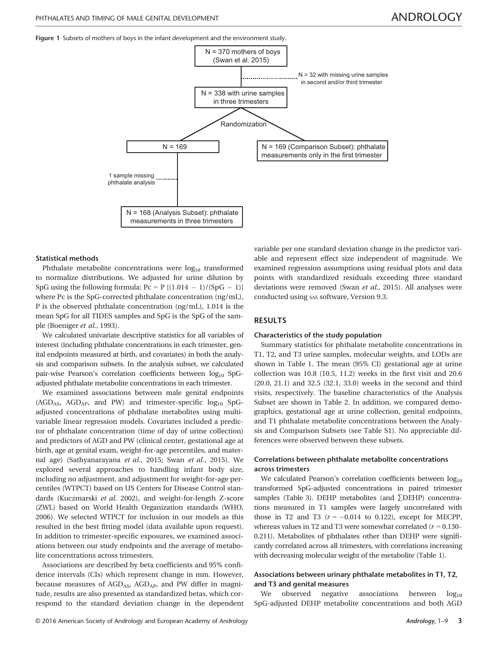Figure 1 Subsets of mothers of boys in the infant development and the environment study.



#### Statistical methods

Phthalate metabolite concentrations were log<sub>10</sub> transformed to normalize distributions. We adjusted for urine dilution by SpG using the following formula:  $Pc = P[(1.014 - 1)/(SpG - 1)]$ where Pc is the SpG-corrected phthalate concentration (ng/mL), P is the observed phthalate concentration (ng/mL), 1.014 is the mean SpG for all TIDES samples and SpG is the SpG of the sample (Boeniger et al., 1993).

We calculated univariate descriptive statistics for all variables of interest (including phthalate concentrations in each trimester, genital endpoints measured at birth, and covariates) in both the analysis and comparison subsets. In the analysis subset, we calculated pair-wise Pearson's correlation coefficients between  $log_{10}$  SpGadjusted phthalate metabolite concentrations in each trimester.

We examined associations between male genital endpoints (AGD<sub>AS</sub>, AGD<sub>AP</sub>, and PW) and trimester-specific  $log_{10}$  SpGadjusted concentrations of phthalate metabolites using multivariable linear regression models. Covariates included a predictor of phthalate concentration (time of day of urine collection) and predictors of AGD and PW (clinical center, gestational age at birth, age at genital exam, weight-for-age percentiles, and maternal age) (Sathyanarayana et al., 2015; Swan et al., 2015). We explored several approaches to handling infant body size, including no adjustment, and adjustment for weight-for-age percentiles (WTPCT) based on US Centers for Disease Control standards (Kuczmarski et al. 2002), and weight-for-length Z-score (ZWL) based on World Health Organization standards (WHO, 2006). We selected WTPCT for inclusion in our models as this resulted in the best fitting model (data available upon request). In addition to trimester-specific exposures, we examined associations between our study endpoints and the average of metabolite concentrations across trimesters.

Associations are described by beta coefficients and 95% confidence intervals (CIs) which represent change in mm. However, because measures of  $AGD<sub>AS</sub>$ ,  $AGD<sub>AP</sub>$ , and PW differ in magnitude, results are also presented as standardized betas, which correspond to the standard deviation change in the dependent variable per one standard deviation change in the predictor variable and represent effect size independent of magnitude. We examined regression assumptions using residual plots and data points with standardized residuals exceeding three standard deviations were removed (Swan et al., 2015). All analyses were conducted using SAS software, Version 9.3.

#### RESULTS

#### Characteristics of the study population

Summary statistics for phthalate metabolite concentrations in T1, T2, and T3 urine samples, molecular weights, and LODs are shown in Table 1. The mean (95% CI) gestational age at urine collection was 10.8 (10.5, 11.2) weeks in the first visit and 20.6 (20.0, 21.1) and 32.5 (32.1, 33.0) weeks in the second and third visits, respectively. The baseline characteristics of the Analysis Subset are shown in Table 2. In addition, we compared demographics, gestational age at urine collection, genital endpoints, and T1 phthalate metabolite concentrations between the Analysis and Comparison Subsets (see Table S1). No appreciable differences were observed between these subsets.

## Correlations between phthalate metabolite concentrations across trimesters

We calculated Pearson's correlation coefficients between  $log_{10}$ transformed SpG-adjusted concentrations in paired trimester samples (Table 3). DEHP metabolites (and ∑DEHP) concentrations measured in T1 samples were largely uncorrelated with those in T2 and T3 ( $r = -0.014$  to 0.122), except for MECPP, whereas values in T2 and T3 were somewhat correlated ( $r = 0.130-$ 0.211). Metabolites of phthalates other than DEHP were significantly correlated across all trimesters, with correlations increasing with decreasing molecular weight of the metabolite (Table 1).

#### Associations between urinary phthalate metabolites in T1, T2, and T3 and genital measures

We observed negative associations between  $log_{10}$ SpG-adjusted DEHP metabolite concentrations and both AGD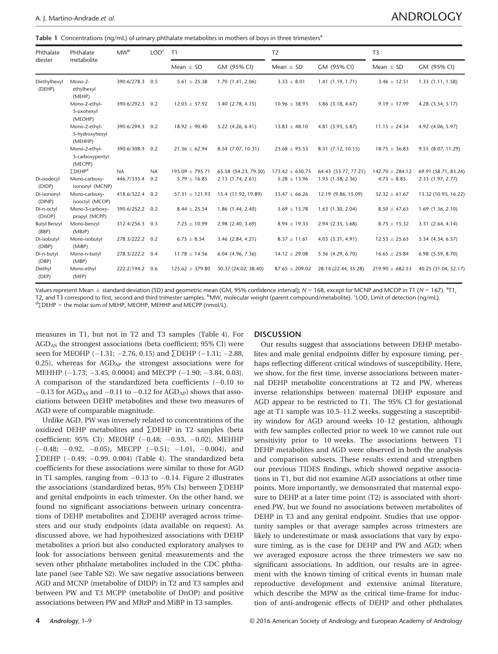#### Table 1 Concentrations ( $nq/mL$ ) of urinary phthalate metabolites in mothers of boys in three trimesters<sup>a</sup>

| Phthalate<br>diester         | Phthalate                                   | M <sub>W</sub> b | LOD <sub>c</sub> | T1                  |                       | T <sub>2</sub>      |                       | T <sub>3</sub>      |                       |  |
|------------------------------|---------------------------------------------|------------------|------------------|---------------------|-----------------------|---------------------|-----------------------|---------------------|-----------------------|--|
|                              | metabolite                                  |                  |                  | Mean $\pm$ SD       | GM (95% CI)           | Mean $\pm$ SD       | GM (95% CI)           | Mean $\pm$ SD       | GM (95% CI)           |  |
| Diethylhexyl<br>(DEHP)       | Mono-2-<br>ethylhexyl<br>(MEHP)             | 390.6/278.3 0.5  |                  | $5.61 \pm 25.38$    | 1.70(1.41, 2.06)      | $3.33 \pm 8.01$     | 1.41(1.19, 1.71)      | $3.46 \pm 12.51$    | 1.33(1.11, 1.58)      |  |
|                              | Mono-2-ethyl-<br>5-oxohexyl<br>(MEOHP)      | 390.6/292.3 0.2  |                  | $12.03 \pm 57.92$   | 3.40(2.78, 4.15)      | $10.96 \pm 38.93$   | 3.86 (3.18, 4.67)     | $9.19 \pm 17.99$    | 4.28 (3.54, 5.17)     |  |
|                              | Mono-2-ethyl-<br>5-hydroxyhexyl<br>(MEHHP)  | 390.6/294.3 0.2  |                  | $18.92 \pm 90.40$   | 5.22 (4.26, 6.41)     | $13.83 \pm 48.10$   | 4.81 (3.93, 5.87)     | $11.15 \pm 24.54$   | 4.92 (4.06, 5.97)     |  |
|                              | Mono-2-ethyl-<br>5-carboxypentyl<br>(MECPP) | 390.6/308.3 0.2  |                  | $21.36 \pm 62.94$   | 8.54 (7.07, 10.31)    | $23.68 \pm 95.53$   | 8.51 (7.12, 10.15)    | $18.75 \pm 36.83$   | 9.55 (8.07, 11.29)    |  |
|                              | $\Sigma$ DEHP <sup>d</sup>                  | <b>NA</b>        | <b>NA</b>        | $195.09 \pm 795.71$ | 65.58 (54.23, 79.30)  | $173.42 \pm 630.75$ | 64.43 (53.77, 77.21)  | $142.70 \pm 284.12$ | 69.91 (58.71, 83.24)  |  |
| Di-isodecyl<br>(DIDP)        | Mono-carboxy-<br>isononyl (MCNP)            | 446.7/335.4      | 0.2              | $5.79 \pm 16.85$    | 2.13(1.74, 2.61)      | $5.28 \pm 13.96$    | 1.93(1.58, 2.36)      | $4.73 \pm 8.85$     | 2.33 (1.97, 2.77)     |  |
| Di-isononyl<br>(DINP)        | Mono-carboxy-<br>isooctyl (MCOP)            | 418.6/322.4 0.2  |                  | $57.31 \pm 121.93$  | 15.4 (11.92, 19.89)   | $33.47 \pm 66.26$   | 12.19 (9.86, 15.09)   | $32.32 \pm 61.67$   | 13.32 (10.93, 16.22)  |  |
| Di-n-octyl<br>(DnOP)         | Mono-3-carboxy-<br>propyl (MCPP)            | 390.6/252.2 0.2  |                  | $8.44 \pm 25.54$    | 1.86 (1.44, 2.40)     | $5.69 \pm 15.78$    | $1.63$ $(1.30, 2.04)$ | $8.50 \pm 47.63$    | $1.69$ $(1.36, 2.10)$ |  |
| <b>Butyl Benzyl</b><br>(BBP) | Mono-benzyl<br>(MBzP)                       | 312.4/256.3 0.3  |                  | $7.25 \pm 10.99$    | 2.98 (2.40, 3.69)     | $8.94 \pm 19.33$    | 2.94 (2.35, 3.68)     | $8.75 \pm 15.32$    | 3.31 (2.64, 4.14)     |  |
| Di-isobutyl<br>(DIBP)        | Mono-isobutyl<br>(MiBP)                     | 278.3/222.2 0.2  |                  | $6.75 \pm 8.54$     | 3.46 (2.84, 4.21)     | $8.37 \pm 11.61$    | 4.03 (3.31, 4.91)     | $12.53 \pm 25.63$   | 5.34 (4.34, 6.57)     |  |
| Di-n-butyl<br>(DBP)          | Mono-n-butyl<br>(MBP)                       | 278.3/222.2 0.4  |                  | $11.78 \pm 14.56$   | $6.04$ $(4.96, 7.36)$ | $14.12 \pm 29.08$   | 5.36 (4.29, 6.70)     | $16.65 \pm 25.84$   | 6.98 (5.59, 8.70)     |  |
| Diethyl<br>(DEP)             | Mono-ethyl<br>(MEP)                         | 222.2/194.2 0.6  |                  | $125.62 \pm 379.80$ | 30.37 (24.02, 38.40)  | $87.65 \pm 209.02$  | 28.14 (22.44, 35.28)  | $219.90 \pm 682.53$ | 40.25 (31.04, 52.17)  |  |

Values represent Mean  $\pm$  standard deviation (SD) and geometric mean (GM, 95% confidence interval); N = 168, except for MCNP and MCOP in T1 (N = 167). <sup>a</sup>T1, T2, and T3 correspond to first, second and third trimester samples. <sup>b</sup>MW, molecular weight (parent compound/metabolite). <sup>c</sup>LOD, Limit of detection (ng/mL).  $d_{\sum}$ DEHP = the molar sum of MEHP, MEOHP, MEHHP and MECPP (nmol/L).

measures in T1, but not in T2 and T3 samples (Table 4). For AGDAS the strongest associations (beta coefficient; 95% CI) were seen for MEOHP ( $-1.31$ ;  $-2.76$ , 0.15) and ∑DEHP ( $-1.31$ ;  $-2.88$ , 0.25), whereas for  $AGD_{AP}$  the strongest associations were for MEHHP  $(-1.73; -3.45, 0.0004)$  and MECPP  $(-1.90; -3.84, 0.03)$ . A comparison of the standardized beta coefficients  $(-0.10$  to  $-0.13$  for AGD<sub>AS</sub> and  $-0.11$  to  $-0.12$  for AGD<sub>AP</sub>) shows that associations between DEHP metabolites and these two measures of AGD were of comparable magnitude.

Unlike AGD, PW was inversely related to concentrations of the oxidized DEHP metabolites and ∑DEHP in T2 samples (beta coefficient; 95% CI): MEOHP  $(-0.48; -0.93, -0.02)$ , MEHHP  $(-0.48; -0.92, -0.05)$ , MECPP  $(-0.51; -1.01, -0.004)$ , and  $\Sigma$ DEHP (-0.49; -0.99, 0.004) (Table 4). The standardized beta coefficients for these associations were similar to those for AGD in T1 samples, ranging from  $-0.13$  to  $-0.14$ . Figure 2 illustrates the associations (standardized betas, 95% CIs) between ∑DEHP and genital endpoints in each trimester. On the other hand, we found no significant associations between urinary concentrations of DEHP metabolites and ∑DEHP averaged across trimesters and our study endpoints (data available on request). As discussed above, we had hypothesized associations with DEHP metabolites a priori but also conducted exploratory analyses to look for associations between genital measurements and the seven other phthalate metabolites included in the CDC phthalate panel (see Table S2). We saw negative associations between AGD and MCNP (metabolite of DIDP) in T2 and T3 samples and between PW and T3 MCPP (metabolite of DnOP) and positive associations between PW and MBzP and MiBP in T3 samples.

#### **DISCUSSION**

Our results suggest that associations between DEHP metabolites and male genital endpoints differ by exposure timing, perhaps reflecting different critical windows of susceptibility. Here, we show, for the first time, inverse associations between maternal DEHP metabolite concentrations at T2 and PW, whereas inverse relationships between maternal DEHP exposure and AGD appear to be restricted to T1. The 95% CI for gestational age at T1 sample was 10.5–11.2 weeks, suggesting a susceptibility window for AGD around weeks 10–12 gestation, although with few samples collected prior to week 10 we cannot rule out sensitivity prior to 10 weeks. The associations between T1 DEHP metabolites and AGD were observed in both the analysis and comparison subsets. These results extend and strengthen our previous TIDES findings, which showed negative associations in T1, but did not examine AGD associations at other time points. More importantly, we demonstrated that maternal exposure to DEHP at a later time point (T2) is associated with shortened PW, but we found no associations between metabolites of DEHP in T3 and any genital endpoint. Studies that use opportunity samples or that average samples across trimesters are likely to underestimate or mask associations that vary by exposure timing, as is the case for DEHP and PW and AGD; when we averaged exposure across the three trimesters we saw no significant associations. In addition, our results are in agreement with the known timing of critical events in human male reproductive development and extensive animal literature, which describe the MPW as the critical time-frame for induction of anti-androgenic effects of DEHP and other phthalates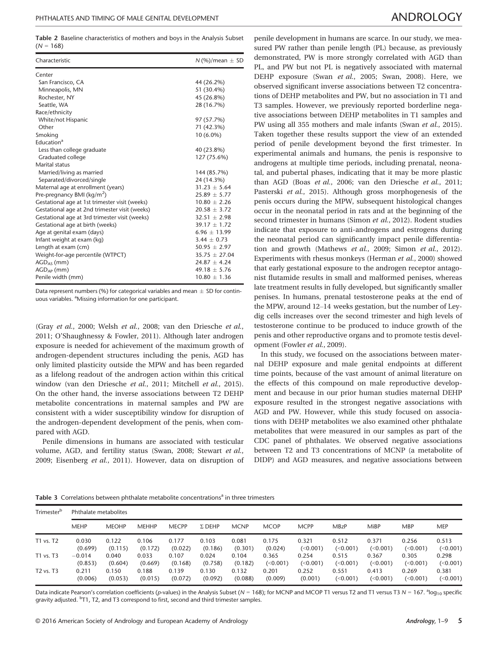Table 2 Baseline characteristics of mothers and boys in the Analysis Subset  $(N = 168)$ 

| Characteristic                                 | $N$ (%)/mean $\pm$ SD |
|------------------------------------------------|-----------------------|
| Center                                         |                       |
| San Francisco, CA                              | 44 (26.2%)            |
| Minneapolis, MN                                | 51 (30.4%)            |
| Rochester, NY                                  | 45 (26.8%)            |
| Seattle, WA                                    | 28 (16.7%)            |
| Race/ethnicity                                 |                       |
| White/not Hispanic                             | 97 (57.7%)            |
| Other                                          | 71 (42.3%)            |
| Smoking                                        | 10 (6.0%)             |
| Education <sup>a</sup>                         |                       |
| Less than college graduate                     | 40 (23.8%)            |
| Graduated college                              | 127 (75.6%)           |
| Marital status                                 |                       |
| Married/living as married                      | 144 (85.7%)           |
| Separated/divorced/single                      | 24 (14.3%)            |
| Maternal age at enrollment (years)             | $31.23 \pm 5.64$      |
| Pre-pregnancy BMI (kg/m <sup>2</sup> )         | $25.89 \pm 5.77$      |
| Gestational age at 1st trimester visit (weeks) | $10.80 + 2.26$        |
| Gestational age at 2nd trimester visit (weeks) | $20.58 \pm 3.72$      |
| Gestational age at 3rd trimester visit (weeks) | $32.51 \pm 2.98$      |
| Gestational age at birth (weeks)               | $39.17 + 1.72$        |
| Age at genital exam (days)                     | $6.96 \pm 13.99$      |
| Infant weight at exam (kg)                     | $3.44 + 0.73$         |
| Length at exam (cm)                            | $50.95 \pm 2.97$      |
| Weight-for-age percentile (WTPCT)              | $35.75 \pm 27.04$     |
| $AGDAS$ (mm)                                   | $24.87 + 4.24$        |
| $AGD_{AP}$ (mm)                                | $49.18 \pm 5.76$      |
| Penile width (mm)                              | $10.80 \pm 1.36$      |

Data represent numbers (%) for categorical variables and mean  $\pm$  SD for continuous variables. <sup>a</sup>Missing information for one participant.

(Gray et al., 2000; Welsh et al., 2008; van den Driesche et al., 2011; O'Shaughnessy & Fowler, 2011). Although later androgen exposure is needed for achievement of the maximum growth of androgen-dependent structures including the penis, AGD has only limited plasticity outside the MPW and has been regarded as a lifelong readout of the androgen action within this critical window (van den Driesche et al., 2011; Mitchell et al., 2015). On the other hand, the inverse associations between T2 DEHP metabolite concentrations in maternal samples and PW are consistent with a wider susceptibility window for disruption of the androgen-dependent development of the penis, when compared with AGD.

Penile dimensions in humans are associated with testicular volume, AGD, and fertility status (Swan, 2008; Stewart et al., 2009; Eisenberg et al., 2011). However, data on disruption of penile development in humans are scarce. In our study, we measured PW rather than penile length (PL) because, as previously demonstrated, PW is more strongly correlated with AGD than PL, and PW but not PL is negatively associated with maternal DEHP exposure (Swan et al., 2005; Swan, 2008). Here, we observed significant inverse associations between T2 concentrations of DEHP metabolites and PW, but no association in T1 and T3 samples. However, we previously reported borderline negative associations between DEHP metabolites in T1 samples and PW using all 355 mothers and male infants (Swan et al., 2015). Taken together these results support the view of an extended period of penile development beyond the first trimester. In experimental animals and humans, the penis is responsive to androgens at multiple time periods, including prenatal, neonatal, and pubertal phases, indicating that it may be more plastic than AGD (Boas et al., 2006; van den Driesche et al., 2011; Pasterski et al., 2015). Although gross morphogenesis of the penis occurs during the MPW, subsequent histological changes occur in the neonatal period in rats and at the beginning of the second trimester in humans (Simon et al., 2012). Rodent studies indicate that exposure to anti-androgens and estrogens during the neonatal period can significantly impact penile differentiation and growth (Mathews et al., 2009; Simon et al., 2012). Experiments with rhesus monkeys (Herman et al., 2000) showed that early gestational exposure to the androgen receptor antagonist flutamide results in small and malformed penises, whereas late treatment results in fully developed, but significantly smaller penises. In humans, prenatal testosterone peaks at the end of the MPW, around 12–14 weeks gestation, but the number of Leydig cells increases over the second trimester and high levels of testosterone continue to be produced to induce growth of the penis and other reproductive organs and to promote testis development (Fowler et al., 2009).

In this study, we focused on the associations between maternal DEHP exposure and male genital endpoints at different time points, because of the vast amount of animal literature on the effects of this compound on male reproductive development and because in our prior human studies maternal DEHP exposure resulted in the strongest negative associations with AGD and PW. However, while this study focused on associations with DEHP metabolites we also examined other phthalate metabolites that were measured in our samples as part of the CDC panel of phthalates. We observed negative associations between T2 and T3 concentrations of MCNP (a metabolite of DIDP) and AGD measures, and negative associations between

Table 3 Correlations between phthalate metabolite concentrations<sup>a</sup> in three trimesters

| Trimester <sup>b</sup>            | Phthalate metabolites |              |              |              |               |             |             |             |             |                |            |            |
|-----------------------------------|-----------------------|--------------|--------------|--------------|---------------|-------------|-------------|-------------|-------------|----------------|------------|------------|
|                                   | <b>MEHP</b>           | <b>MEOHP</b> | <b>MEHHP</b> | <b>MECPP</b> | $\Sigma$ DEHP | <b>MCNP</b> | <b>MCOP</b> | <b>MCPP</b> | <b>MBzP</b> | MiBP           | <b>MBP</b> | <b>MEP</b> |
| $T1$ vs. $T2$                     | 0.030                 | 0.122        | 0.106        | 0.177        | 0.103         | 0.081       | 0.175       | 0.321       | 0.512       | 0.371          | 0.256      | 0.513      |
|                                   | (0.699)               | (0.115)      | (0.172)      | (0.022)      | (0.186)       | (0.301)     | (0.024)     | (<0.001)    | (<0.001)    | (<0.001)       | (<0.001)   | (<0.001)   |
| $T1$ vs. $T3$                     | $-0.014$              | 0.040        | 0.033        | 0.107        | 0.024         | 0.104       | 0.365       | 0.254       | 0.515       | 0.367          | 0.305      | 0.298      |
|                                   | (0.853)               | (0.604)      | (0.669)      | (0.168)      | (0.758)       | (0.182)     | (<0.001)    | (<0.001)    | (<0.001)    | (<0.001)       | (<0.001)   | (<0.001)   |
| T <sub>2</sub> vs. T <sub>3</sub> | 0.211                 | 0.150        | 0.188        | 0.139        | 0.130         | 0.132       | 0.201       | 0.252       | 0.551       | 0.413          | 0.269      | 0.381      |
|                                   | (0.006)               | (0.053)      | (0.015)      | (0.072)      | (0.092)       | (0.088)     | (0.009)     | (0.001)     | (<0.001)    | $($ $<$ 0.001) | (<0.001)   | (<0.001)   |

Data indicate Pearson's correlation coefficients (p-values) in the Analysis Subset ( $N = 168$ ); for MCNP and MCOP T1 versus T2 and T1 versus T3  $N = 167$ . <sup>a</sup>log<sub>10</sub> specific gravity adjusted. <sup>b</sup>T1, T2, and T3 correspond to first, second and third trimester samples.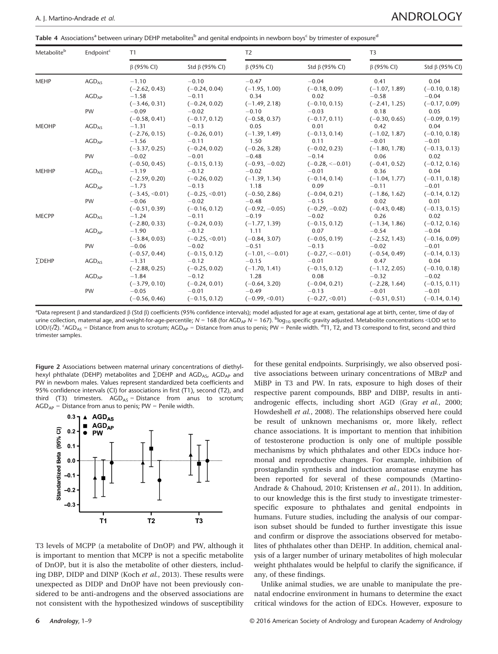Table 4 Associations<sup>a</sup> between urinary DEHP metabolites<sup>b</sup> and genital endpoints in newborn boys<sup>c</sup> by trimester of exposure<sup>d</sup>

| Metabolite <sup>b</sup> | Endpoint <sup>c</sup> | T1               |                      | T <sub>2</sub>       |                      | T <sub>3</sub>   |                      |  |
|-------------------------|-----------------------|------------------|----------------------|----------------------|----------------------|------------------|----------------------|--|
|                         |                       | $\beta$ (95% CI) | Std $\beta$ (95% CI) | $\beta$ (95% CI)     | Std $\beta$ (95% CI) | $\beta$ (95% CI) | Std $\beta$ (95% CI) |  |
| <b>MEHP</b>             | AGD <sub>AS</sub>     | $-1.10$          | $-0.10$              | $-0.47$              | $-0.04$              | 0.41             | 0.04                 |  |
|                         |                       | $(-2.62, 0.43)$  | $(-0.24, 0.04)$      | $(-1.95, 1.00)$      | $(-0.18, 0.09)$      | $(-1.07, 1.89)$  | $(-0.10, 0.18)$      |  |
|                         | $AGD_{AP}$            | $-1.58$          | $-0.11$              | 0.34                 | 0.02                 | $-0.58$          | $-0.04$              |  |
|                         |                       | $(-3.46, 0.31)$  | $(-0.24, 0.02)$      | $(-1.49, 2.18)$      | $(-0.10, 0.15)$      | $(-2.41, 1.25)$  | $(-0.17, 0.09)$      |  |
|                         | PW                    | $-0.09$          | $-0.02$              | $-0.10$              | $-0.03$              | 0.18             | 0.05                 |  |
|                         |                       | $(-0.58, 0.41)$  | $(-0.17, 0.12)$      | $(-0.58, 0.37)$      | $(-0.17, 0.11)$      | $(-0.30, 0.65)$  | $(-0.09, 0.19)$      |  |
| <b>MEOHP</b>            | AGD <sub>AS</sub>     | $-1.31$          | $-0.13$              | 0.05                 | 0.01                 | 0.42             | 0.04                 |  |
|                         |                       | $(-2.76, 0.15)$  | $(-0.26, 0.01)$      | $(-1.39, 1.49)$      | $(-0.13, 0.14)$      | $(-1.02, 1.87)$  | $(-0.10, 0.18)$      |  |
|                         | AGD <sub>AP</sub>     | $-1.56$          | $-0.11$              | 1.50                 | 0.11                 | $-0.01$          | $-0.01$              |  |
|                         |                       | $(-3.37, 0.25)$  | $(-0.24, 0.02)$      | $(-0.26, 3.28)$      | $(-0.02, 0.23)$      | $(-1.80, 1.78)$  | $(-0.13, 0.13)$      |  |
|                         | PW                    | $-0.02$          | $-0.01$              | $-0.48$              | $-0.14$              | 0.06             | 0.02                 |  |
|                         |                       | $(-0.50, 0.45)$  | $(-0.15, 0.13)$      | $(-0.93, -0.02)$     | $(-0.28, \le -0.01)$ | $(-0.41, 0.52)$  | $(-0.12, 0.16)$      |  |
| <b>MEHHP</b>            | AGD <sub>AS</sub>     | $-1.19$          | $-0.12$              | $-0.02$              | $-0.01$              | 0.36             | 0.04                 |  |
|                         |                       | $(-2.59, 0.20)$  | $(-0.26, 0.02)$      | $(-1.39, 1.34)$      | $(-0.14, 0.14)$      | $(-1.04, 1.77)$  | $(-0.11, 0.18)$      |  |
|                         | $AGD_{AP}$            | $-1.73$          | $-0.13$              | 1.18                 | 0.09                 | $-0.11$          | $-0.01$              |  |
|                         |                       | $(-3.45, <0.01)$ | $(-0.25, \le 0.01)$  | $(-0.50, 2.86)$      | $(-0.04, 0.21)$      | $(-1.86, 1.62)$  | $(-0.14, 0.12)$      |  |
|                         | PW                    | $-0.06$          | $-0.02$              | $-0.48$              | $-0.15$              | 0.02             | 0.01                 |  |
|                         |                       | $(-0.51, 0.39)$  | $(-0.16, 0.12)$      | $(-0.92, -0.05)$     | $(-0.29, -0.02)$     | $(-0.43, 0.48)$  | $(-0.13, 0.15)$      |  |
| <b>MECPP</b>            | AGD <sub>AS</sub>     | $-1.24$          | $-0.11$              | $-0.19$              | $-0.02$              | 0.26             | 0.02                 |  |
|                         |                       | $(-2.80, 0.33)$  | $(-0.24, 0.03)$      | $(-1.77, 1.39)$      | $(-0.15, 0.12)$      | $(-1.34, 1.86)$  | $(-0.12, 0.16)$      |  |
|                         | $AGD_{AP}$            | $-1.90$          | $-0.12$              | 1.11                 | 0.07                 | $-0.54$          | $-0.04$              |  |
|                         |                       | $(-3.84, 0.03)$  | $(-0.25, \le 0.01)$  | $(-0.84, 3.07)$      | $(-0.05, 0.19)$      | $(-2.52, 1.43)$  | $(-0.16, 0.09)$      |  |
|                         | PW                    | $-0.06$          | $-0.02$              | $-0.51$              | $-0.13$              | $-0.02$          | $-0.01$              |  |
|                         |                       | $(-0.57, 0.44)$  | $(-0.15, 0.12)$      | $(-1.01, \le -0.01)$ | $(-0.27, \le -0.01)$ | $(-0.54, 0.49)$  | $(-0.14, 0.13)$      |  |
| $\Sigma$ DEHP           | AGD <sub>AS</sub>     | $-1.31$          | $-0.12$              | $-0.15$              | $-0.01$              | 0.47             | 0.04                 |  |
|                         |                       | $(-2.88, 0.25)$  | $(-0.25, 0.02)$      | $(-1.70, 1.41)$      | $(-0.15, 0.12)$      | $(-1.12, 2.05)$  | $(-0.10, 0.18)$      |  |
|                         | $AGD_{AP}$            | $-1.84$          | $-0.12$              | 1.28                 | 0.08                 | $-0.32$          | $-0.02$              |  |
|                         |                       | $(-3.79, 0.10)$  | $(-0.24, 0.01)$      | $(-0.64, 3.20)$      | $(-0.04, 0.21)$      | $(-2.28, 1.64)$  | $(-0.15, 0.11)$      |  |
|                         | PW                    | $-0.05$          | $-0.01$              | $-0.49$              | $-0.13$              | $-0.01$          | $-0.01$              |  |
|                         |                       | $(-0.56, 0.46)$  | $(-0.15, 0.12)$      | $(-0.99, \le 0.01)$  | $(-0.27, \le 0.01)$  | $(-0.51, 0.51)$  | $(-0.14, 0.14)$      |  |

<sup>a</sup>Data represent β and standardized β (Std β) coefficients (95% confidence intervals); model adjusted for age at exam, gestational age at birth, center, time of day of urine collection, maternal age, and weight-for-age-percentile; N = 168 (for AGD<sub>AP</sub> N = 167). <sup>b</sup>log<sub>10</sub> specific gravity adjusted. Metabolite concentrations <LOD set to LOD/(√2). <sup>c</sup>AGD<sub>AS</sub> = Distance from anus to scrotum; AGD<sub>AP</sub> = Distance from anus to penis; PW = Penile width. <sup>d</sup>T1, T2, and T3 correspond to first, second and third trimester samples.

Figure 2 Associations between maternal urinary concentrations of diethylhexyl phthalate (DEHP) metabolites and ∑DEHP and AGD<sub>AS</sub>, AGD<sub>AP</sub> and PW in newborn males. Values represent standardized beta coefficients and 95% confidence intervals (CI) for associations in first (T1), second (T2), and third (T3) trimesters.  $AGD_{AS} = Distance$  from anus to scrotum;  $AGD_{AP}$  = Distance from anus to penis; PW = Penile width.



T3 levels of MCPP (a metabolite of DnOP) and PW, although it is important to mention that MCPP is not a specific metabolite of DnOP, but it is also the metabolite of other diesters, including DBP, DIDP and DINP (Koch et al., 2013). These results were unexpected as DIDP and DnOP have not been previously considered to be anti-androgens and the observed associations are not consistent with the hypothesized windows of susceptibility for these genital endpoints. Surprisingly, we also observed positive associations between urinary concentrations of MBzP and MiBP in T3 and PW. In rats, exposure to high doses of their respective parent compounds, BBP and DIBP, results in antiandrogenic effects, including short AGD (Gray et al., 2000; Howdeshell et al., 2008). The relationships observed here could be result of unknown mechanisms or, more likely, reflect chance associations. It is important to mention that inhibition of testosterone production is only one of multiple possible mechanisms by which phthalates and other EDCs induce hormonal and reproductive changes. For example, inhibition of prostaglandin synthesis and induction aromatase enzyme has been reported for several of these compounds (Martino-Andrade & Chahoud, 2010; Kristensen et al., 2011). In addition, to our knowledge this is the first study to investigate trimesterspecific exposure to phthalates and genital endpoints in humans. Future studies, including the analysis of our comparison subset should be funded to further investigate this issue and confirm or disprove the associations observed for metabolites of phthalates other than DEHP. In addition, chemical analysis of a larger number of urinary metabolites of high molecular weight phthalates would be helpful to clarify the significance, if any, of these findings.

Unlike animal studies, we are unable to manipulate the prenatal endocrine environment in humans to determine the exact critical windows for the action of EDCs. However, exposure to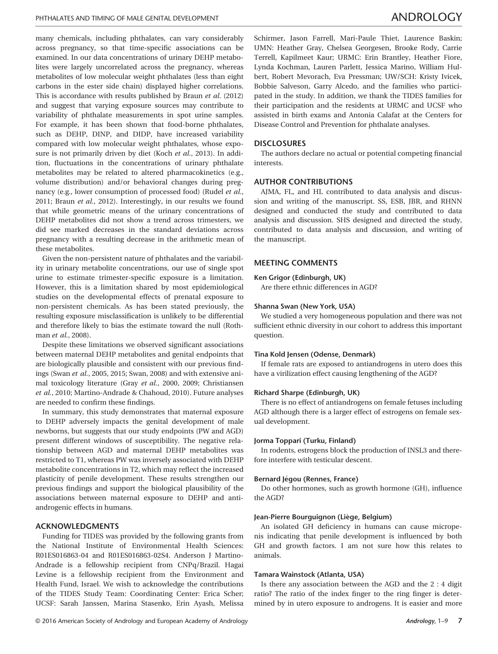many chemicals, including phthalates, can vary considerably across pregnancy, so that time-specific associations can be examined. In our data concentrations of urinary DEHP metabolites were largely uncorrelated across the pregnancy, whereas metabolites of low molecular weight phthalates (less than eight carbons in the ester side chain) displayed higher correlations. This is accordance with results published by Braun et al. (2012) and suggest that varying exposure sources may contribute to variability of phthalate measurements in spot urine samples. For example, it has been shown that food-borne phthalates, such as DEHP, DINP, and DIDP, have increased variability compared with low molecular weight phthalates, whose exposure is not primarily driven by diet (Koch et al., 2013). In addition, fluctuations in the concentrations of urinary phthalate metabolites may be related to altered pharmacokinetics (e.g., volume distribution) and/or behavioral changes during pregnancy (e.g., lower consumption of processed food) (Rudel *et al.*, 2011; Braun et al., 2012). Interestingly, in our results we found that while geometric means of the urinary concentrations of DEHP metabolites did not show a trend across trimesters, we did see marked decreases in the standard deviations across pregnancy with a resulting decrease in the arithmetic mean of these metabolites.

Given the non-persistent nature of phthalates and the variability in urinary metabolite concentrations, our use of single spot urine to estimate trimester-specific exposure is a limitation. However, this is a limitation shared by most epidemiological studies on the developmental effects of prenatal exposure to non-persistent chemicals. As has been stated previously, the resulting exposure misclassification is unlikely to be differential and therefore likely to bias the estimate toward the null (Rothman et al., 2008).

Despite these limitations we observed significant associations between maternal DEHP metabolites and genital endpoints that are biologically plausible and consistent with our previous findings (Swan et al., 2005, 2015; Swan, 2008) and with extensive animal toxicology literature (Gray et al., 2000, 2009; Christiansen et al., 2010; Martino-Andrade & Chahoud, 2010). Future analyses are needed to confirm these findings.

In summary, this study demonstrates that maternal exposure to DEHP adversely impacts the genital development of male newborns, but suggests that our study endpoints (PW and AGD) present different windows of susceptibility. The negative relationship between AGD and maternal DEHP metabolites was restricted to T1, whereas PW was inversely associated with DEHP metabolite concentrations in T2, which may reflect the increased plasticity of penile development. These results strengthen our previous findings and support the biological plausibility of the associations between maternal exposure to DEHP and antiandrogenic effects in humans.

#### ACKNOWLEDGMENTS

Funding for TIDES was provided by the following grants from the National Institute of Environmental Health Sciences: R01ES016863-04 and R01ES016863-02S4. Anderson J Martino-Andrade is a fellowship recipient from CNPq/Brazil. Hagai Levine is a fellowship recipient from the Environment and Health Fund, Israel. We wish to acknowledge the contributions of the TIDES Study Team: Coordinating Center: Erica Scher; UCSF: Sarah Janssen, Marina Stasenko, Erin Ayash, Melissa

Schirmer, Jason Farrell, Mari-Paule Thiet, Laurence Baskin; UMN: Heather Gray, Chelsea Georgesen, Brooke Rody, Carrie Terrell, Kapilmeet Kaur; URMC: Erin Brantley, Heather Fiore, Lynda Kochman, Lauren Parlett, Jessica Marino, William Hulbert, Robert Mevorach, Eva Pressman; UW/SCH: Kristy Ivicek, Bobbie Salveson, Garry Alcedo, and the families who participated in the study. In addition, we thank the TIDES families for their participation and the residents at URMC and UCSF who assisted in birth exams and Antonia Calafat at the Centers for Disease Control and Prevention for phthalate analyses.

#### DISCLOSURES

The authors declare no actual or potential competing financial interests.

## AUTHOR CONTRIBUTIONS

AJMA, FL, and HL contributed to data analysis and discussion and writing of the manuscript. SS, ESB, JBR, and RHNN designed and conducted the study and contributed to data analysis and discussion. SHS designed and directed the study, contributed to data analysis and discussion, and writing of the manuscript.

## MEETING COMMENTS

#### Ken Grigor (Edinburgh, UK)

Are there ethnic differences in AGD?

#### Shanna Swan (New York, USA)

We studied a very homogeneous population and there was not sufficient ethnic diversity in our cohort to address this important question.

#### Tina Kold Jensen (Odense, Denmark)

If female rats are exposed to antiandrogens in utero does this have a virilization effect causing lengthening of the AGD?

#### Richard Sharpe (Edinburgh, UK)

There is no effect of antiandrogens on female fetuses including AGD although there is a larger effect of estrogens on female sexual development.

#### Jorma Toppari (Turku, Finland)

In rodents, estrogens block the production of INSL3 and therefore interfere with testicular descent.

#### Bernard Jégou (Rennes, France)

Do other hormones, such as growth hormone (GH), influence the AGD?

#### Jean-Pierre Bourguignon (Liege, Belgium)

An isolated GH deficiency in humans can cause micropenis indicating that penile development is influenced by both GH and growth factors. I am not sure how this relates to animals.

#### Tamara Wainstock (Atlanta, USA)

Is there any association between the AGD and the 2 : 4 digit ratio? The ratio of the index finger to the ring finger is determined by in utero exposure to androgens. It is easier and more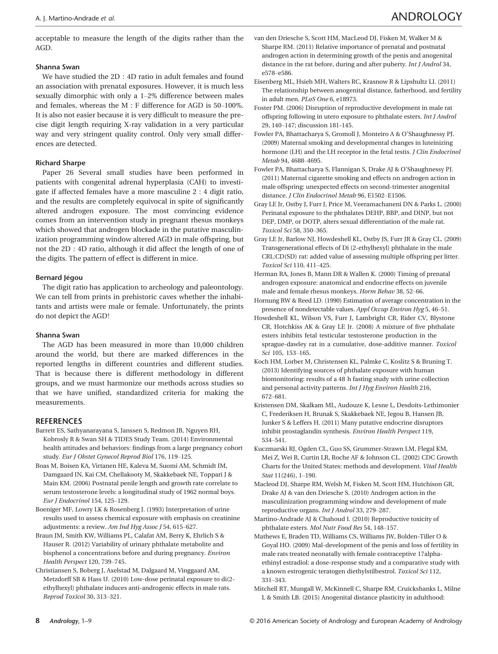acceptable to measure the length of the digits rather than the AGD.

## Shanna Swan

We have studied the 2D : 4D ratio in adult females and found an association with prenatal exposures. However, it is much less sexually dimorphic with only a 1–2% difference between males and females, whereas the M : F difference for AGD is 50–100%. It is also not easier because it is very difficult to measure the precise digit length requiring X-ray validation in a very particular way and very stringent quality control. Only very small differences are detected.

## Richard Sharpe

Paper 26 Several small studies have been performed in patients with congenital adrenal hyperplasia (CAH) to investigate if affected females have a more masculine 2 : 4 digit ratio, and the results are completely equivocal in spite of significantly altered androgen exposure. The most convincing evidence comes from an intervention study in pregnant rhesus monkeys which showed that androgen blockade in the putative masculinization programming window altered AGD in male offspring, but not the 2D : 4D ratio, although it did affect the length of one of the digits. The pattern of effect is different in mice.

## Bernard Jégou

The digit ratio has application to archeology and paleontology. We can tell from prints in prehistoric caves whether the inhabitants and artists were male or female. Unfortunately, the prints do not depict the AGD!

### Shanna Swan

The AGD has been measured in more than 10,000 children around the world, but there are marked differences in the reported lengths in different countries and different studies. That is because there is different methodology in different groups, and we must harmonize our methods across studies so that we have unified, standardized criteria for making the measurements.

## **REFERENCES**

- Barrett ES, Sathyanarayana S, Janssen S, Redmon JB, Nguyen RH, Kobrosly R & Swan SH & TIDES Study Team. (2014) Environmental health attitudes and behaviors: findings from a large pregnancy cohort study. Eur J Obstet Gynecol Reprod Biol 176, 119–125.
- Boas M, Boisen KA, Virtanen HE, Kaleva M, Suomi AM, Schmidt IM, Damgaard IN, Kai CM, Chellakooty M, Skakkebaek NE, Toppari J & Main KM. (2006) Postnatal penile length and growth rate correlate to serum testosterone levels: a longitudinal study of 1962 normal boys. Eur J Endocrinol 154, 125–129.
- Boeniger MF, Lowry LK & Rosenberg J. (1993) Interpretation of urine results used to assess chemical exposure with emphasis on creatinine adjustments: a review. Am Ind Hyg Assoc J 54, 615–627.
- Braun JM, Smith KW, Williams PL, Calafat AM, Berry K, Ehrlich S & Hauser R. (2012) Variability of urinary phthalate metabolite and bisphenol a concentrations before and during pregnancy. Environ Health Perspect 120, 739–745.
- Christiansen S, Boberg J, Axelstad M, Dalgaard M, Vinggaard AM, Metzdorff SB & Hass U. (2010) Low-dose perinatal exposure to di(2 ethylhexyl) phthalate induces anti-androgenic effects in male rats. Reprod Toxicol 30, 313–321.
- van den Driesche S, Scott HM, MacLeod DJ, Fisken M, Walker M & Sharpe RM. (2011) Relative importance of prenatal and postnatal androgen action in determining growth of the penis and anogenital distance in the rat before, during and after puberty. Int J Androl 34, e578–e586.
- Eisenberg ML, Hsieh MH, Walters RC, Krasnow R & Lipshultz LI. (2011) The relationship between anogenital distance, fatherhood, and fertility in adult men. PLoS One 6, e18973.
- Foster PM. (2006) Disruption of reproductive development in male rat offspring following in utero exposure to phthalate esters. Int J Androl 29, 140–147; discussion 181-145.
- Fowler PA, Bhattacharya S, Gromoll J, Monteiro A & O'Shaughnessy PJ. (2009) Maternal smoking and developmental changes in luteinizing hormone (LH) and the LH receptor in the fetal testis. J Clin Endocrinol Metab 94, 4688–4695.
- Fowler PA, Bhattacharya S, Flannigan S, Drake AJ & O'Shaughnessy PJ. (2011) Maternal cigarette smoking and effects on androgen action in male offspring: unexpected effects on second-trimester anogenital distance. J Clin Endocrinol Metab 96, E1502–E1506.
- Gray LE Jr, Ostby J, Furr J, Price M, Veeramachaneni DN & Parks L. (2000) Perinatal exposure to the phthalates DEHP, BBP, and DINP, but not DEP, DMP, or DOTP, alters sexual differentiation of the male rat. Toxicol Sci 58, 350–365.
- Gray LE Jr, Barlow NJ, Howdeshell KL, Ostby JS, Furr JR & Gray CL. (2009) Transgenerational effects of Di (2-ethylhexyl) phthalate in the male CRL:CD(SD) rat: added value of assessing multiple offspring per litter. Toxicol Sci 110, 411–425.
- Herman RA, Jones B, Mann DR & Wallen K. (2000) Timing of prenatal androgen exposure: anatomical and endocrine effects on juvenile male and female rhesus monkeys. Horm Behav 38, 52–66.
- Hornung RW & Reed LD. (1990) Estimation of average concentration in the presence of nondetectable values. Appl Occup Environ Hyg 5, 46-51.
- Howdeshell KL, Wilson VS, Furr J, Lambright CR, Rider CV, Blystone CR, Hotchkiss AK & Gray LE Jr. (2008) A mixture of five phthalate esters inhibits fetal testicular testosterone production in the sprague-dawley rat in a cumulative, dose-additive manner. Toxicol Sci 105, 153–165.
- Koch HM, Lorber M, Christensen KL, Palmke C, Koslitz S & Bruning T. (2013) Identifying sources of phthalate exposure with human biomonitoring: results of a 48 h fasting study with urine collection and personal activity patterns. Int J Hyg Environ Health 216, 672–681.
- Kristensen DM, Skalkam ML, Audouze K, Lesne L, Desdoits-Lethimonier C, Frederiksen H, Brunak S, Skakkebaek NE, Jegou B, Hansen JB, Junker S & Leffers H. (2011) Many putative endocrine disruptors inhibit prostaglandin synthesis. Environ Health Perspect 119, 534–541.
- Kuczmarski RJ, Ogden CL, Guo SS, Grummer-Strawn LM, Flegal KM, Mei Z, Wei R, Curtin LR, Roche AF & Johnson CL. (2002) CDC Growth Charts for the United States: methods and development. Vital Health Stat 11(246), 1–190.
- Macleod DJ, Sharpe RM, Welsh M, Fisken M, Scott HM, Hutchison GR, Drake AJ & van den Driesche S. (2010) Androgen action in the masculinization programming window and development of male reproductive organs. Int J Androl 33, 279–287.
- Martino-Andrade AJ & Chahoud I. (2010) Reproductive toxicity of phthalate esters. Mol Nutr Food Res 54, 148–157.
- Mathews E, Braden TD, Williams CS, Williams JW, Bolden-Tiller O & Goyal HO. (2009) Mal-development of the penis and loss of fertility in male rats treated neonatally with female contraceptive 17alphaethinyl estradiol: a dose-response study and a comparative study with a known estrogenic teratogen diethylstilbestrol. Toxicol Sci 112, 331–343.
- Mitchell RT, Mungall W, McKinnell C, Sharpe RM, Cruickshanks L, Milne L & Smith LB. (2015) Anogenital distance plasticity in adulthood: